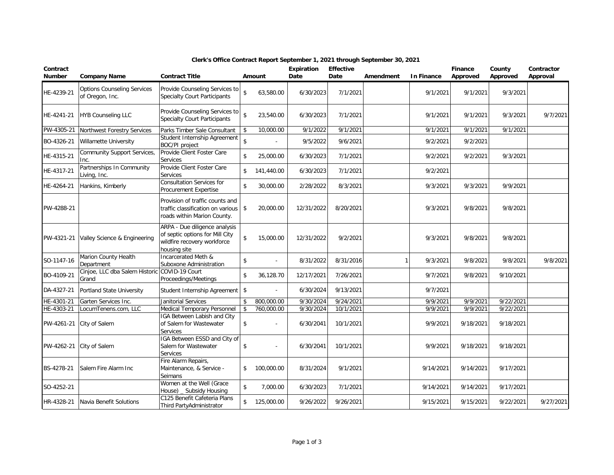| Contract<br><b>Number</b> | <b>Company Name</b>                                    | <b>Contract Title</b>                                                                                           |                    | Amount                   | Expiration<br>Date | <b>Effective</b><br>Date | Amendment | In Finance | <b>Finance</b><br>Approved | County<br>Approved | Contractor<br>Approval |
|---------------------------|--------------------------------------------------------|-----------------------------------------------------------------------------------------------------------------|--------------------|--------------------------|--------------------|--------------------------|-----------|------------|----------------------------|--------------------|------------------------|
| HE-4239-21                | <b>Options Counseling Services</b><br>of Oregon, Inc.  | Provide Counseling Services to<br>Specialty Court Participants                                                  | \$                 | 63,580.00                | 6/30/2023          | 7/1/2021                 |           | 9/1/2021   | 9/1/2021                   | 9/3/2021           |                        |
| HE-4241-21                | <b>HYB Counseling LLC</b>                              | Provide Counseling Services to<br><b>Specialty Court Participants</b>                                           | $\mathbf{\hat{S}}$ | 23,540.00                | 6/30/2023          | 7/1/2021                 |           | 9/1/2021   | 9/1/2021                   | 9/3/2021           | 9/7/2021               |
| PW-4305-21                | Northwest Forestry Services                            | Parks Timber Sale Consultant                                                                                    | $\mathbf{\hat{S}}$ | 10,000.00                | 9/1/2022           | 9/1/2021                 |           | 9/1/2021   | 9/1/2021                   | 9/1/2021           |                        |
| BO-4326-21                | Willamette University                                  | Student Internship Agreement<br>BOC/PI project                                                                  | $\mathbf{\hat{S}}$ |                          | 9/5/2022           | 9/6/2021                 |           | 9/2/2021   | 9/2/2021                   |                    |                        |
| HE-4315-21                | Community Support Services,<br>Inc.                    | Provide Client Foster Care<br>Services                                                                          | $\mathbf{\hat{S}}$ | 25,000.00                | 6/30/2023          | 7/1/2021                 |           | 9/2/2021   | 9/2/2021                   | 9/3/2021           |                        |
| HE-4317-21                | Partnerships In Community<br>Living, Inc.              | Provide Client Foster Care<br>Services                                                                          | \$                 | 141,440.00               | 6/30/2023          | 7/1/2021                 |           | 9/2/2021   |                            |                    |                        |
| HE-4264-21                | Hankins, Kimberly                                      | Consultation Services for<br>Procurement Expertise                                                              | \$                 | 30,000.00                | 2/28/2022          | 8/3/2021                 |           | 9/3/2021   | 9/3/2021                   | 9/9/2021           |                        |
| PW-4288-21                |                                                        | Provision of traffic counts and<br>traffic classification on various<br>roads within Marion County.             | \$                 | 20,000.00                | 12/31/2022         | 8/20/2021                |           | 9/3/2021   | 9/8/2021                   | 9/8/2021           |                        |
| PW-4321-21                | Valley Science & Engineering                           | ARPA - Due diligence analysis<br>of septic options for Mill City<br>wildfire recovery workforce<br>housing site | $\mathbf{\hat{S}}$ | 15,000.00                | 12/31/2022         | 9/2/2021                 |           | 9/3/2021   | 9/8/2021                   | 9/8/2021           |                        |
| SO-1147-16                | Marion County Health<br>Department                     | Incarcerated Meth &<br>Suboxone Administration                                                                  | \$                 | $\overline{\phantom{a}}$ | 8/31/2022          | 8/31/2016                |           | 9/3/2021   | 9/8/2021                   | 9/8/2021           | 9/8/2021               |
| BO-4109-21                | Cinjoe, LLC dba Salem Historic COVID-19 Court<br>Grand | Proceedings/Meetings                                                                                            | \$                 | 36,128.70                | 12/17/2021         | 7/26/2021                |           | 9/7/2021   | 9/8/2021                   | 9/10/2021          |                        |
| DA-4327-21                | Portland State University                              | Student Internship Agreement   \$                                                                               |                    | $\overline{\phantom{a}}$ | 6/30/2024          | 9/13/2021                |           | 9/7/2021   |                            |                    |                        |
| HE-4301-21                | Garten Services Inc.                                   | Janitorial Services                                                                                             | \$                 | 800,000.00               | 9/30/2024          | 9/24/2021                |           | 9/9/2021   | 9/9/2021                   | 9/22/2021          |                        |
| HE-4303-21                | LocumTenens.com, LLC                                   | Medical Temporary Personnel                                                                                     | \$                 | 760,000.00               | 9/30/2024          | 10/1/2021                |           | 9/9/2021   | 9/9/2021                   | 9/22/2021          |                        |
| PW-4261-21                | City of Salem                                          | IGA Between Labish and City<br>of Salem for Wastewater<br>Services                                              | \$                 | $\overline{\phantom{a}}$ | 6/30/2041          | 10/1/2021                |           | 9/9/2021   | 9/18/2021                  | 9/18/2021          |                        |
| PW-4262-21                | City of Salem                                          | IGA Between ESSD and City of<br>Salem for Wastewater<br>Services                                                | \$                 |                          | 6/30/2041          | 10/1/2021                |           | 9/9/2021   | 9/18/2021                  | 9/18/2021          |                        |
| BS-4278-21                | Salem Fire Alarm Inc                                   | Fire Alarm Repairs,<br>Maintenance, & Service -<br>Seimans                                                      | \$                 | 100,000.00               | 8/31/2024          | 9/1/2021                 |           | 9/14/2021  | 9/14/2021                  | 9/17/2021          |                        |
| SO-4252-21                |                                                        | Women at the Well (Grace<br>House) _ Subsidy Housing                                                            | \$                 | 7,000.00                 | 6/30/2023          | 7/1/2021                 |           | 9/14/2021  | 9/14/2021                  | 9/17/2021          |                        |
| HR-4328-21                | Navia Benefit Solutions                                | C125 Benefit Cafeteria Plans<br>Third PartyAdministrator                                                        | \$                 | 125,000.00               | 9/26/2022          | 9/26/2021                |           | 9/15/2021  | 9/15/2021                  | 9/22/2021          | 9/27/2021              |

## **Clerk's Office Contract Report September 1, 2021 through September 30, 2021**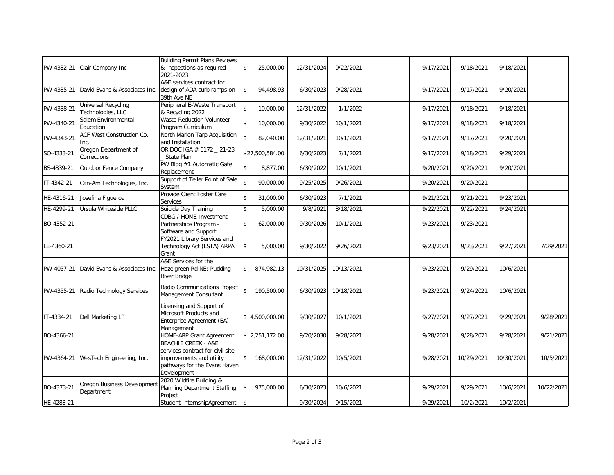| PW-4332-21 | Clair Company Inc                        | <b>Building Permit Plans Reviews</b><br>& Inspections as required<br>2021-2023                                                                | \$           | 25,000.00       | 12/31/2024 | 9/22/2021  | 9/17/2021 | 9/18/2021  | 9/18/2021  |            |
|------------|------------------------------------------|-----------------------------------------------------------------------------------------------------------------------------------------------|--------------|-----------------|------------|------------|-----------|------------|------------|------------|
| PW-4335-21 | David Evans & Associates Inc.            | A&E services contract for<br>design of ADA curb ramps on<br>39th Ave NE                                                                       | \$           | 94,498.93       | 6/30/2023  | 9/28/2021  | 9/17/2021 | 9/17/2021  | 9/20/2021  |            |
| PW-4338-21 | Universal Recycling<br>Technologies, LLC | Peripheral E-Waste Transport<br>& Recycling 2022                                                                                              | \$           | 10,000.00       | 12/31/2022 | 1/1/2022   | 9/17/2021 | 9/18/2021  | 9/18/2021  |            |
| PW-4340-21 | Salem Environmental<br>Education         | <b>Waste Reduction Volunteer</b><br>Program Curriculum                                                                                        | \$           | 10,000.00       | 9/30/2022  | 10/1/2021  | 9/17/2021 | 9/18/2021  | 9/18/2021  |            |
| PW-4343-21 | ACF West Construction Co.<br>Inc.        | North Marion Tarp Acquisition<br>and Installation                                                                                             | \$           | 82,040.00       | 12/31/2021 | 10/1/2021  | 9/17/2021 | 9/17/2021  | 9/20/2021  |            |
| SO-4333-21 | Oregon Department of<br>Corrections      | OR DOC IGA # 6172 _ 21-23<br>State Plan                                                                                                       |              | \$27,500,584.00 | 6/30/2023  | 7/1/2021   | 9/17/2021 | 9/18/2021  | 9/29/2021  |            |
| BS-4339-21 | Outdoor Fence Company                    | PW Bldg #1 Automatic Gate<br>Replacement                                                                                                      | \$           | 8,877.00        | 6/30/2022  | 10/1/2021  | 9/20/2021 | 9/20/2021  | 9/20/2021  |            |
| IT-4342-21 | Can-Am Technologies, Inc.                | Support of Teller Point of Sale<br>System                                                                                                     | $\mathbf{s}$ | 90,000.00       | 9/25/2025  | 9/26/2021  | 9/20/2021 | 9/20/2021  |            |            |
| HE-4316-21 | Josefina Figueroa                        | Provide Client Foster Care<br>Services                                                                                                        | \$           | 31,000.00       | 6/30/2023  | 7/1/2021   | 9/21/2021 | 9/21/2021  | 9/23/2021  |            |
| HE-4299-21 | Ursula Whiteside PLLC                    | Suicide Day Training                                                                                                                          | \$           | 5,000.00        | 9/8/2021   | 8/18/2021  | 9/22/2021 | 9/22/2021  | 9/24/2021  |            |
| BO-4352-21 |                                          | CDBG / HOME Investment<br>Partnerships Program -<br>Software and Support                                                                      | \$           | 62,000.00       | 9/30/2026  | 10/1/2021  | 9/23/2021 | 9/23/2021  |            |            |
| LE-4360-21 |                                          | FY2021 Library Services and<br>Technology Act (LSTA) ARPA<br>Grant                                                                            | \$           | 5,000.00        | 9/30/2022  | 9/26/2021  | 9/23/2021 | 9/23/2021  | 9/27/2021  | 7/29/2021  |
| PW-4057-21 | David Evans & Associates Inc.            | A&E Services for the<br>Hazelgreen Rd NE: Pudding<br><b>River Bridge</b>                                                                      | \$           | 874,982.13      | 10/31/2025 | 10/13/2021 | 9/23/2021 | 9/29/2021  | 10/6/2021  |            |
| PW-4355-21 | Radio Technology Services                | Radio Communications Project<br>Management Consultant                                                                                         | \$           | 190,500.00      | 6/30/2023  | 10/18/2021 | 9/23/2021 | 9/24/2021  | 10/6/2021  |            |
| IT-4334-21 | Dell Marketing LP                        | Licensing and Support of<br>Microsoft Products and<br>Enterprise Agreement (EA)<br>Management                                                 |              | \$4,500,000.00  | 9/30/2027  | 10/1/2021  | 9/27/2021 | 9/27/2021  | 9/29/2021  | 9/28/2021  |
| BO-4366-21 |                                          | HOME-ARP Grant Agreement                                                                                                                      |              | \$2,251,172.00  | 9/20/2030  | 9/28/2021  | 9/28/2021 | 9/28/2021  | 9/28/2021  | 9/21/2021  |
| PW-4364-21 | WesTech Engineering, Inc.                | <b>BEACHIE CREEK - A&amp;E</b><br>services contract for civil site<br>improvements and utility<br>pathways for the Evans Haven<br>Development |              | \$ 168,000.00   | 12/31/2022 | 10/5/2021  | 9/28/2021 | 10/29/2021 | 10/30/2021 | 10/5/2021  |
| BO-4373-21 | Oregon Business Developmen<br>Department | 2020 Wildfire Building &<br>Planning Department Staffing<br>Project                                                                           | \$           | 975,000.00      | 6/30/2023  | 10/6/2021  | 9/29/2021 | 9/29/2021  | 10/6/2021  | 10/22/2021 |
| HE-4283-21 |                                          | Student InternshipAgreement   \$                                                                                                              |              |                 | 9/30/2024  | 9/15/2021  | 9/29/2021 | 10/2/2021  | 10/2/2021  |            |